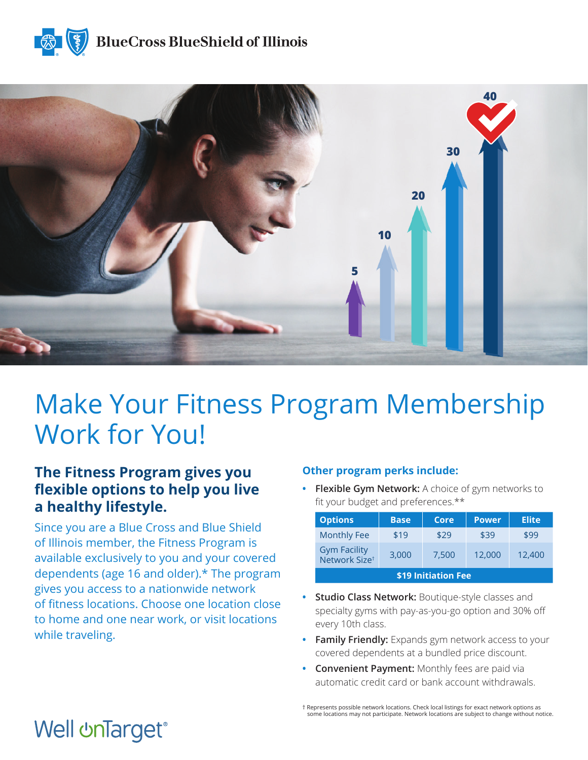



# Make Your Fitness Program Membership Work for You!

### **The Fitness Program gives you flexible options to help you live a healthy lifestyle.**

Since you are a Blue Cross and Blue Shield of Illinois member, the Fitness Program is available exclusively to you and your covered dependents (age 16 and older).\* The program gives you access to a nationwide network of fitness locations. Choose one location close to home and one near work, or visit locations while traveling.

### **Other program perks include:**

**• Flexible Gym Network:** A choice of gym networks to fit your budget and preferences.\*\*

| <b>Options</b>                                   | <b>Base</b> | Core  | <b>Power</b> | <b>Elite</b> |
|--------------------------------------------------|-------------|-------|--------------|--------------|
| <b>Monthly Fee</b>                               | \$19        | \$29  | \$39         | \$99         |
| <b>Gym Facility</b><br>Network Size <sup>t</sup> | 3,000       | 7.500 | 12,000       | 12,400       |
| \$19 Initiation Fee                              |             |       |              |              |

- **• Studio Class Network:** Boutique-style classes and specialty gyms with pay-as-you-go option and 30% off every 10th class.
- **• Family Friendly:** Expands gym network access to your covered dependents at a bundled price discount.
- **• Convenient Payment:** Monthly fees are paid via automatic credit card or bank account withdrawals.

† Represents possible network locations. Check local listings for exact network options as some locations may not participate. Network locations are subject to change without notice.

## **Well unTarget®**